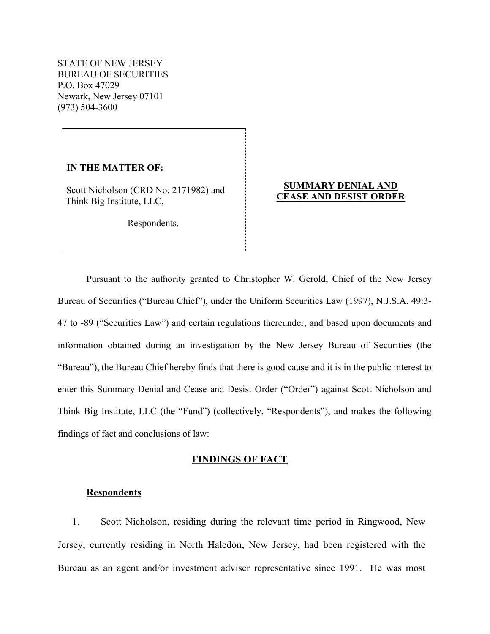STATE OF NEW JERSEY BUREAU OF SECURITIES P.O. Box 47029 Newark, New Jersey 07101 (973) 504-3600

IN THE MATTER OF:

Scott Nicholson (CRD No. 2171982) and Think Big Institute, LLC,

Respondents.

## SUMMARY DENIAL AND CEASE AND DESIST ORDER

Pursuant to the authority granted to Christopher W. Gerold, Chief of the New Jersey Bureau of Securities ("Bureau Chief"), under the Uniform Securities Law (1997), N.J.S.A. 49:3- 47 to -89 ("Securities Law") and certain regulations thereunder, and based upon documents and information obtained during an investigation by the New Jersey Bureau of Securities (the "Bureau"), the Bureau Chief hereby finds that there is good cause and it is in the public interest to enter this Summary Denial and Cease and Desist Order ("Order") against Scott Nicholson and Think Big Institute, LLC (the "Fund") (collectively, "Respondents"), and makes the following findings of fact and conclusions of law:

### FINDINGS OF FACT

## **Respondents**

1. Scott Nicholson, residing during the relevant time period in Ringwood, New Jersey, currently residing in North Haledon, New Jersey, had been registered with the Bureau as an agent and/or investment adviser representative since 1991. He was most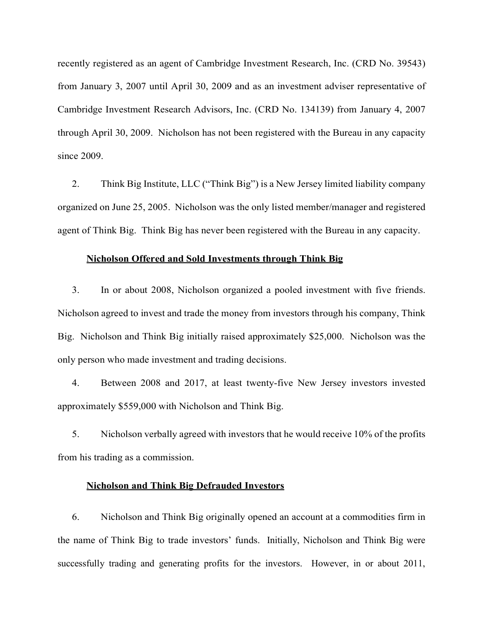recently registered as an agent of Cambridge Investment Research, Inc. (CRD No. 39543) from January 3, 2007 until April 30, 2009 and as an investment adviser representative of Cambridge Investment Research Advisors, Inc. (CRD No. 134139) from January 4, 2007 through April 30, 2009. Nicholson has not been registered with the Bureau in any capacity since 2009.

2. Think Big Institute, LLC ("Think Big") is a New Jersey limited liability company organized on June 25, 2005. Nicholson was the only listed member/manager and registered agent of Think Big. Think Big has never been registered with the Bureau in any capacity.

#### Nicholson Offered and Sold Investments through Think Big

3. In or about 2008, Nicholson organized a pooled investment with five friends. Nicholson agreed to invest and trade the money from investors through his company, Think Big. Nicholson and Think Big initially raised approximately \$25,000. Nicholson was the only person who made investment and trading decisions.

4. Between 2008 and 2017, at least twenty-five New Jersey investors invested approximately \$559,000 with Nicholson and Think Big.

5. Nicholson verbally agreed with investors that he would receive 10% of the profits from his trading as a commission.

### Nicholson and Think Big Defrauded Investors

6. Nicholson and Think Big originally opened an account at a commodities firm in the name of Think Big to trade investors' funds. Initially, Nicholson and Think Big were successfully trading and generating profits for the investors. However, in or about 2011,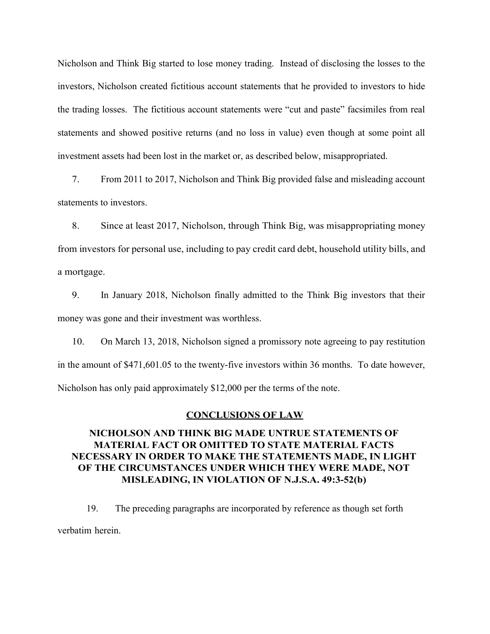Nicholson and Think Big started to lose money trading. Instead of disclosing the losses to the investors, Nicholson created fictitious account statements that he provided to investors to hide the trading losses. The fictitious account statements were "cut and paste" facsimiles from real statements and showed positive returns (and no loss in value) even though at some point all investment assets had been lost in the market or, as described below, misappropriated.

7. From 2011 to 2017, Nicholson and Think Big provided false and misleading account statements to investors.

8. Since at least 2017, Nicholson, through Think Big, was misappropriating money from investors for personal use, including to pay credit card debt, household utility bills, and a mortgage.

9. In January 2018, Nicholson finally admitted to the Think Big investors that their money was gone and their investment was worthless.

10. On March 13, 2018, Nicholson signed a promissory note agreeing to pay restitution in the amount of \$471,601.05 to the twenty-five investors within 36 months. To date however, Nicholson has only paid approximately \$12,000 per the terms of the note.

#### CONCLUSIONS OF LAW

## NICHOLSON AND THINK BIG MADE UNTRUE STATEMENTS OF MATERIAL FACT OR OMITTED TO STATE MATERIAL FACTS NECESSARY IN ORDER TO MAKE THE STATEMENTS MADE, IN LIGHT OF THE CIRCUMSTANCES UNDER WHICH THEY WERE MADE, NOT MISLEADING, IN VIOLATION OF N.J.S.A. 49:3-52(b)

19. The preceding paragraphs are incorporated by reference as though set forth verbatim herein.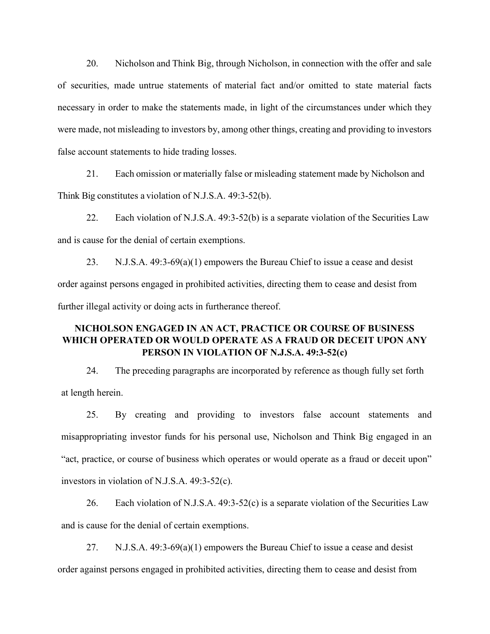20. Nicholson and Think Big, through Nicholson, in connection with the offer and sale of securities, made untrue statements of material fact and/or omitted to state material facts necessary in order to make the statements made, in light of the circumstances under which they were made, not misleading to investors by, among other things, creating and providing to investors false account statements to hide trading losses.

21. Each omission or materially false or misleading statement made by Nicholson and Think Big constitutes a violation of N.J.S.A. 49:3-52(b).

22. Each violation of N.J.S.A. 49:3-52(b) is a separate violation of the Securities Law and is cause for the denial of certain exemptions.

23. N.J.S.A. 49:3-69(a)(1) empowers the Bureau Chief to issue a cease and desist order against persons engaged in prohibited activities, directing them to cease and desist from further illegal activity or doing acts in furtherance thereof.

# NICHOLSON ENGAGED IN AN ACT, PRACTICE OR COURSE OF BUSINESS WHICH OPERATED OR WOULD OPERATE AS A FRAUD OR DECEIT UPON ANY PERSON IN VIOLATION OF N.J.S.A. 49:3-52(c)

24. The preceding paragraphs are incorporated by reference as though fully set forth at length herein.

25. By creating and providing to investors false account statements and misappropriating investor funds for his personal use, Nicholson and Think Big engaged in an "act, practice, or course of business which operates or would operate as a fraud or deceit upon" investors in violation of N.J.S.A. 49:3-52(c).

26. Each violation of N.J.S.A.  $49:3-52(c)$  is a separate violation of the Securities Law and is cause for the denial of certain exemptions.

27. N.J.S.A. 49:3-69(a)(1) empowers the Bureau Chief to issue a cease and desist order against persons engaged in prohibited activities, directing them to cease and desist from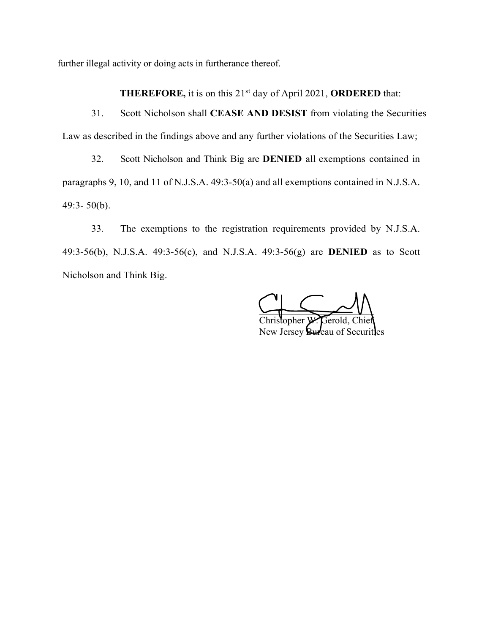further illegal activity or doing acts in furtherance thereof.

THEREFORE, it is on this 21<sup>st</sup> day of April 2021, ORDERED that:

31. Scott Nicholson shall CEASE AND DESIST from violating the Securities Law as described in the findings above and any further violations of the Securities Law;

32. Scott Nicholson and Think Big are DENIED all exemptions contained in paragraphs 9, 10, and 11 of N.J.S.A. 49:3-50(a) and all exemptions contained in N.J.S.A. 49:3- 50(b).

33. The exemptions to the registration requirements provided by N.J.S.A. 49:3-56(b), N.J.S.A. 49:3-56(c), and N.J.S.A. 49:3-56(g) are DENIED as to Scott Nicholson and Think Big.

 $\cup$   $\longrightarrow$   $\cup$   $\cup$ Christopher W. Gerold, Chief New Jersey **Bureau** of Securities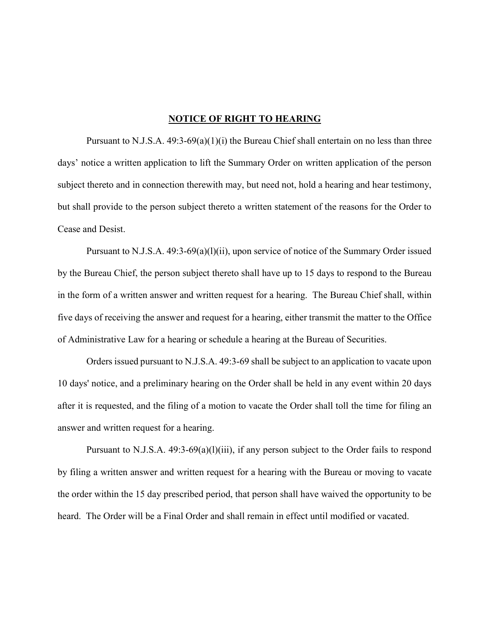#### NOTICE OF RIGHT TO HEARING

 Pursuant to N.J.S.A. 49:3-69(a)(1)(i) the Bureau Chief shall entertain on no less than three days' notice a written application to lift the Summary Order on written application of the person subject thereto and in connection therewith may, but need not, hold a hearing and hear testimony, but shall provide to the person subject thereto a written statement of the reasons for the Order to Cease and Desist.

 Pursuant to N.J.S.A. 49:3-69(a)(l)(ii), upon service of notice of the Summary Order issued by the Bureau Chief, the person subject thereto shall have up to 15 days to respond to the Bureau in the form of a written answer and written request for a hearing. The Bureau Chief shall, within five days of receiving the answer and request for a hearing, either transmit the matter to the Office of Administrative Law for a hearing or schedule a hearing at the Bureau of Securities.

Orders issued pursuant to N.J.S.A. 49:3-69 shall be subject to an application to vacate upon 10 days' notice, and a preliminary hearing on the Order shall be held in any event within 20 days after it is requested, and the filing of a motion to vacate the Order shall toll the time for filing an answer and written request for a hearing.

Pursuant to N.J.S.A.  $49:3-69(a)(1)(iii)$ , if any person subject to the Order fails to respond by filing a written answer and written request for a hearing with the Bureau or moving to vacate the order within the 15 day prescribed period, that person shall have waived the opportunity to be heard. The Order will be a Final Order and shall remain in effect until modified or vacated.